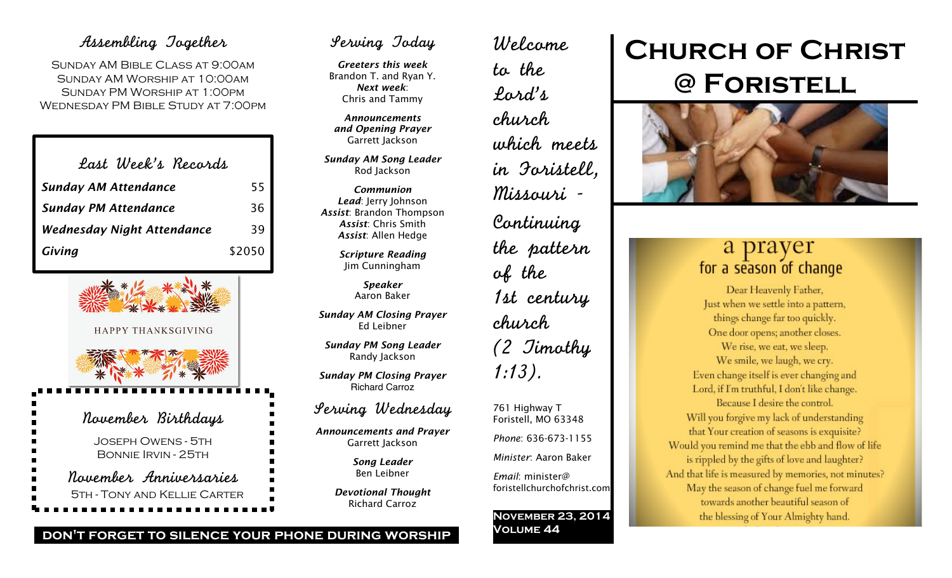## Assembling Together

Sunday AM Bible Class at 9:00am Sunday AM Worship at 10:00am Sunday PM Worship at 1:00pm Wednesday PM Bible Study at 7:00pm

| Last Week's Records               |        |
|-----------------------------------|--------|
| <b>Sunday AM Attendance</b>       | 55     |
| <b>Sunday PM Attendance</b>       | 36     |
| <b>Wednesday Night Attendance</b> | 39     |
| Giving                            | \$2050 |



## Bonnie Irvin - 25th November Anniversaries 5th - Tony and Kellie Carter

## Serving Today

*Greeters this week* Brandon T. and Ryan Y. *Next week*: Chris and Tammy

*Announcements and Opening Prayer* Garrett Jackson

*Sunday AM Song Leader* Rod Jackson

*Communion Lead*: Jerry Johnson *Assist*: Brandon Thompson *Assist*: Chris Smith *Assist*: Allen Hedge

> *Scripture Reading* Jim Cunningham

> > *Speaker* Aaron Baker

*Sunday AM Closing Prayer* Ed Leibner

*Sunday PM Song Leader* Randy Jackson

*Sunday PM Closing Prayer* Richard Carroz

## Serving Wednesday

*Announcements and Prayer* Garrett Jackson

> *Song Leader* Ben Leibner

*Devotional Thought* Richard Carroz

Welcome to the Lord's church which meets in Foristell, Missouri - Continuing the pattern of the 1st century church (2 Timothy 1:13). 761 Highway T

Foristell, MO 63348 *Phone*: 636-673-1155 *Minister*: Aaron Baker

*Email*: minister@ foristellchurchofchrist.com

**November 23, 2014 Volume 44**

# **Church of Christ @ Foristell**



## a prayer for a season of change

Dear Heavenly Father, Just when we settle into a pattern, things change far too quickly. One door opens; another closes. We rise, we eat, we sleep. We smile, we laugh, we cry. Even change itself is ever changing and Lord, if I'm truthful, I don't like change. Because I desire the control. Will you forgive my lack of understanding that Your creation of seasons is exquisite? Would you remind me that the ebb and flow of life is rippled by the gifts of love and laughter? And that life is measured by memories, not minutes? May the season of change fuel me forward towards another beautiful season of the blessing of Your Almighty hand.

**don't forget to silence your phone during worship**